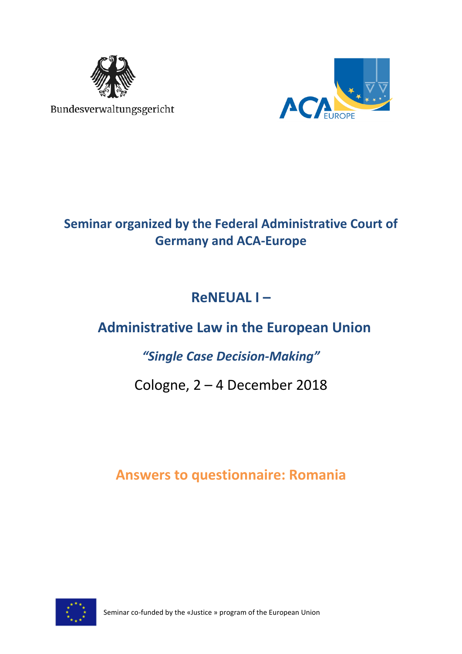

Bundesverwaltungsgericht



## **Seminar organized by the Federal Administrative Court of Germany and ACA-Europe**

# **ReNEUAL I –**

# **Administrative Law in the European Union**

## *"Single Case Decision-Making"*

## Cologne, 2 – 4 December 2018

## **Answers to questionnaire: Romania**

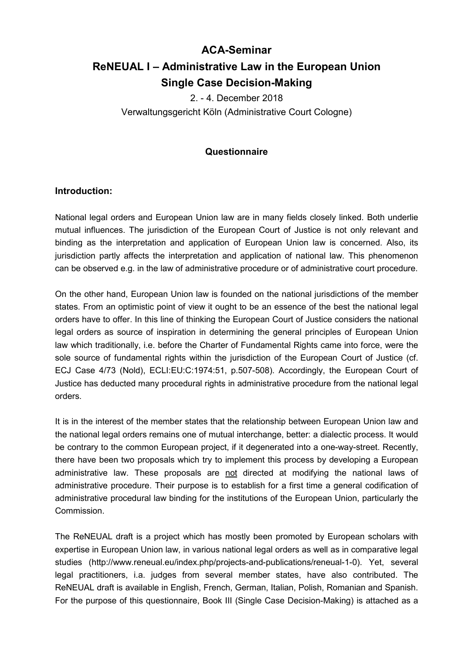## **ACA-Seminar ReNEUAL I – Administrative Law in the European Union Single Case Decision-Making**

2. - 4. December 2018 Verwaltungsgericht Köln (Administrative Court Cologne)

## **Questionnaire**

## **Introduction:**

National legal orders and European Union law are in many fields closely linked. Both underlie mutual influences. The jurisdiction of the European Court of Justice is not only relevant and binding as the interpretation and application of European Union law is concerned. Also, its jurisdiction partly affects the interpretation and application of national law. This phenomenon can be observed e.g. in the law of administrative procedure or of administrative court procedure.

On the other hand, European Union law is founded on the national jurisdictions of the member states. From an optimistic point of view it ought to be an essence of the best the national legal orders have to offer. In this line of thinking the European Court of Justice considers the national legal orders as source of inspiration in determining the general principles of European Union law which traditionally, i.e. before the Charter of Fundamental Rights came into force, were the sole source of fundamental rights within the jurisdiction of the European Court of Justice (cf. ECJ Case 4/73 (Nold), ECLI:EU:C:1974:51, p.507-508). Accordingly, the European Court of Justice has deducted many procedural rights in administrative procedure from the national legal orders.

It is in the interest of the member states that the relationship between European Union law and the national legal orders remains one of mutual interchange, better: a dialectic process. It would be contrary to the common European project, if it degenerated into a one-way-street. Recently, there have been two proposals which try to implement this process by developing a European administrative law. These proposals are not directed at modifying the national laws of administrative procedure. Their purpose is to establish for a first time a general codification of administrative procedural law binding for the institutions of the European Union, particularly the Commission.

The ReNEUAL draft is a project which has mostly been promoted by European scholars with expertise in European Union law, in various national legal orders as well as in comparative legal studies (http://www.reneual.eu/index.php/projects-and-publications/reneual-1-0). Yet, several legal practitioners, i.a. judges from several member states, have also contributed. The ReNEUAL draft is available in English, French, German, Italian, Polish, Romanian and Spanish. For the purpose of this questionnaire, Book III (Single Case Decision-Making) is attached as a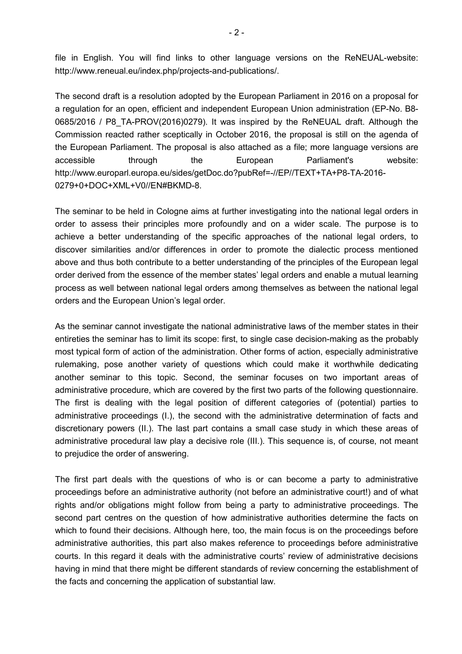file in English. You will find links to other language versions on the ReNEUAL-website: http://www.reneual.eu/index.php/projects-and-publications/.

The second draft is a resolution adopted by the European Parliament in 2016 on a proposal for a regulation for an open, efficient and independent European Union administration (EP-No. B8- 0685/2016 / P8\_TA-PROV(2016)0279). It was inspired by the ReNEUAL draft. Although the Commission reacted rather sceptically in October 2016, the proposal is still on the agenda of the European Parliament. The proposal is also attached as a file; more language versions are accessible through the European Parliament's website: http://www.europarl.europa.eu/sides/getDoc.do?pubRef=-//EP//TEXT+TA+P8-TA-2016- 0279+0+DOC+XML+V0//EN#BKMD-8.

The seminar to be held in Cologne aims at further investigating into the national legal orders in order to assess their principles more profoundly and on a wider scale. The purpose is to achieve a better understanding of the specific approaches of the national legal orders, to discover similarities and/or differences in order to promote the dialectic process mentioned above and thus both contribute to a better understanding of the principles of the European legal order derived from the essence of the member states' legal orders and enable a mutual learning process as well between national legal orders among themselves as between the national legal orders and the European Union's legal order.

As the seminar cannot investigate the national administrative laws of the member states in their entireties the seminar has to limit its scope: first, to single case decision-making as the probably most typical form of action of the administration. Other forms of action, especially administrative rulemaking, pose another variety of questions which could make it worthwhile dedicating another seminar to this topic. Second, the seminar focuses on two important areas of administrative procedure, which are covered by the first two parts of the following questionnaire. The first is dealing with the legal position of different categories of (potential) parties to administrative proceedings (I.), the second with the administrative determination of facts and discretionary powers (II.). The last part contains a small case study in which these areas of administrative procedural law play a decisive role (III.). This sequence is, of course, not meant to prejudice the order of answering.

The first part deals with the questions of who is or can become a party to administrative proceedings before an administrative authority (not before an administrative court!) and of what rights and/or obligations might follow from being a party to administrative proceedings. The second part centres on the question of how administrative authorities determine the facts on which to found their decisions. Although here, too, the main focus is on the proceedings before administrative authorities, this part also makes reference to proceedings before administrative courts. In this regard it deals with the administrative courts' review of administrative decisions having in mind that there might be different standards of review concerning the establishment of the facts and concerning the application of substantial law.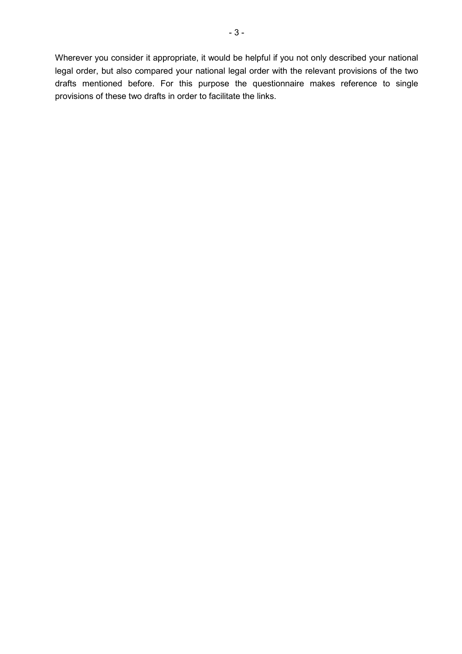Wherever you consider it appropriate, it would be helpful if you not only described your national legal order, but also compared your national legal order with the relevant provisions of the two drafts mentioned before. For this purpose the questionnaire makes reference to single provisions of these two drafts in order to facilitate the links.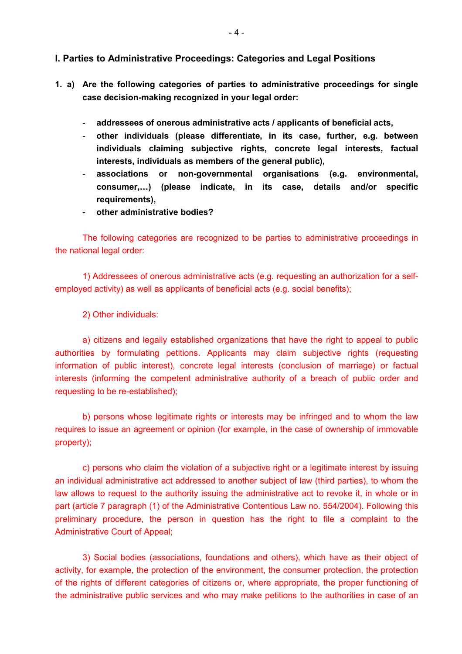### **I. Parties to Administrative Proceedings: Categories and Legal Positions**

- **1. a) Are the following categories of parties to administrative proceedings for single case decision-making recognized in your legal order:** 
	- **addressees of onerous administrative acts / applicants of beneficial acts,**
	- **other individuals (please differentiate, in its case, further, e.g. between individuals claiming subjective rights, concrete legal interests, factual interests, individuals as members of the general public),**
	- **associations or non-governmental organisations (e.g. environmental, consumer,0) (please indicate, in its case, details and/or specific requirements),**
	- **other administrative bodies?**

The following categories are recognized to be parties to administrative proceedings in the national legal order:

1) Addressees of onerous administrative acts (e.g. requesting an authorization for a selfemployed activity) as well as applicants of beneficial acts (e.g. social benefits);

2) Other individuals:

a) citizens and legally established organizations that have the right to appeal to public authorities by formulating petitions. Applicants may claim subjective rights (requesting information of public interest), concrete legal interests (conclusion of marriage) or factual interests (informing the competent administrative authority of a breach of public order and requesting to be re-established);

b) persons whose legitimate rights or interests may be infringed and to whom the law requires to issue an agreement or opinion (for example, in the case of ownership of immovable property);

c) persons who claim the violation of a subjective right or a legitimate interest by issuing an individual administrative act addressed to another subject of law (third parties), to whom the law allows to request to the authority issuing the administrative act to revoke it, in whole or in part (article 7 paragraph (1) of the Administrative Contentious Law no. 554/2004). Following this preliminary procedure, the person in question has the right to file a complaint to the Administrative Court of Appeal;

3) Social bodies (associations, foundations and others), which have as their object of activity, for example, the protection of the environment, the consumer protection, the protection of the rights of different categories of citizens or, where appropriate, the proper functioning of the administrative public services and who may make petitions to the authorities in case of an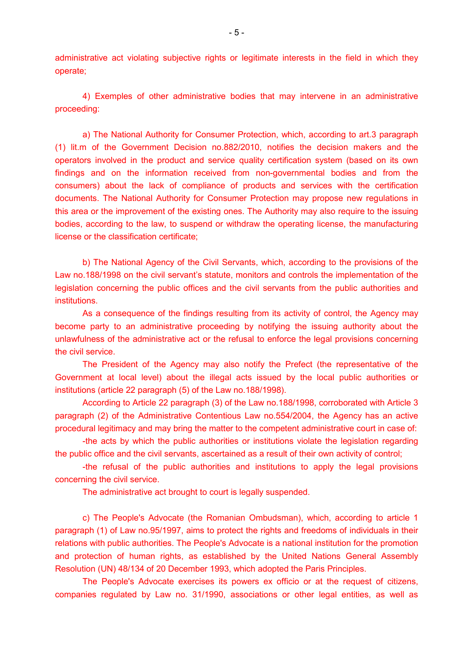administrative act violating subjective rights or legitimate interests in the field in which they operate;

4) Exemples of other administrative bodies that may intervene in an administrative proceeding:

a) The National Authority for Consumer Protection, which, according to art.3 paragraph (1) lit.m of the Government Decision no.882/2010, notifies the decision makers and the operators involved in the product and service quality certification system (based on its own findings and on the information received from non-governmental bodies and from the consumers) about the lack of compliance of products and services with the certification documents. The National Authority for Consumer Protection may propose new regulations in this area or the improvement of the existing ones. The Authority may also require to the issuing bodies, according to the law, to suspend or withdraw the operating license, the manufacturing license or the classification certificate;

b) The National Agency of the Civil Servants, which, according to the provisions of the Law no.188/1998 on the civil servant's statute, monitors and controls the implementation of the legislation concerning the public offices and the civil servants from the public authorities and institutions.

As a consequence of the findings resulting from its activity of control, the Agency may become party to an administrative proceeding by notifying the issuing authority about the unlawfulness of the administrative act or the refusal to enforce the legal provisions concerning the civil service.

The President of the Agency may also notify the Prefect (the representative of the Government at local level) about the illegal acts issued by the local public authorities or institutions (article 22 paragraph (5) of the Law no.188/1998).

According to Article 22 paragraph (3) of the Law no.188/1998, corroborated with Article 3 paragraph (2) of the Administrative Contentious Law no.554/2004, the Agency has an active procedural legitimacy and may bring the matter to the competent administrative court in case of:

-the acts by which the public authorities or institutions violate the legislation regarding the public office and the civil servants, ascertained as a result of their own activity of control;

-the refusal of the public authorities and institutions to apply the legal provisions concerning the civil service.

The administrative act brought to court is legally suspended.

c) The People's Advocate (the Romanian Ombudsman), which, according to article 1 paragraph (1) of Law no.95/1997, aims to protect the rights and freedoms of individuals in their relations with public authorities. The People's Advocate is a national institution for the promotion and protection of human rights, as established by the United Nations General Assembly Resolution (UN) 48/134 of 20 December 1993, which adopted the Paris Principles.

The People's Advocate exercises its powers ex officio or at the request of citizens, companies regulated by Law no. 31/1990, associations or other legal entities, as well as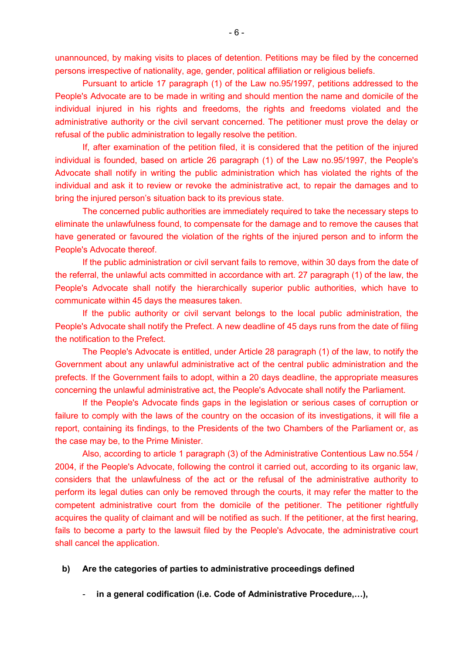unannounced, by making visits to places of detention. Petitions may be filed by the concerned persons irrespective of nationality, age, gender, political affiliation or religious beliefs.

Pursuant to article 17 paragraph (1) of the Law no.95/1997, petitions addressed to the People's Advocate are to be made in writing and should mention the name and domicile of the individual injured in his rights and freedoms, the rights and freedoms violated and the administrative authority or the civil servant concerned. The petitioner must prove the delay or refusal of the public administration to legally resolve the petition.

 If, after examination of the petition filed, it is considered that the petition of the injured individual is founded, based on article 26 paragraph (1) of the Law no.95/1997, the People's Advocate shall notify in writing the public administration which has violated the rights of the individual and ask it to review or revoke the administrative act, to repair the damages and to bring the injured person's situation back to its previous state.

The concerned public authorities are immediately required to take the necessary steps to eliminate the unlawfulness found, to compensate for the damage and to remove the causes that have generated or favoured the violation of the rights of the injured person and to inform the People's Advocate thereof.

 If the public administration or civil servant fails to remove, within 30 days from the date of the referral, the unlawful acts committed in accordance with art. 27 paragraph (1) of the law, the People's Advocate shall notify the hierarchically superior public authorities, which have to communicate within 45 days the measures taken.

If the public authority or civil servant belongs to the local public administration, the People's Advocate shall notify the Prefect. A new deadline of 45 days runs from the date of filing the notification to the Prefect.

The People's Advocate is entitled, under Article 28 paragraph (1) of the law, to notify the Government about any unlawful administrative act of the central public administration and the prefects. If the Government fails to adopt, within a 20 days deadline, the appropriate measures concerning the unlawful administrative act, the People's Advocate shall notify the Parliament.

If the People's Advocate finds gaps in the legislation or serious cases of corruption or failure to comply with the laws of the country on the occasion of its investigations, it will file a report, containing its findings, to the Presidents of the two Chambers of the Parliament or, as the case may be, to the Prime Minister.

Also, according to article 1 paragraph (3) of the Administrative Contentious Law no.554 / 2004, if the People's Advocate, following the control it carried out, according to its organic law, considers that the unlawfulness of the act or the refusal of the administrative authority to perform its legal duties can only be removed through the courts, it may refer the matter to the competent administrative court from the domicile of the petitioner. The petitioner rightfully acquires the quality of claimant and will be notified as such. If the petitioner, at the first hearing, fails to become a party to the lawsuit filed by the People's Advocate, the administrative court shall cancel the application.

#### **b) Are the categories of parties to administrative proceedings defined**

in a general codification (i.e. Code of Administrative Procedure,...),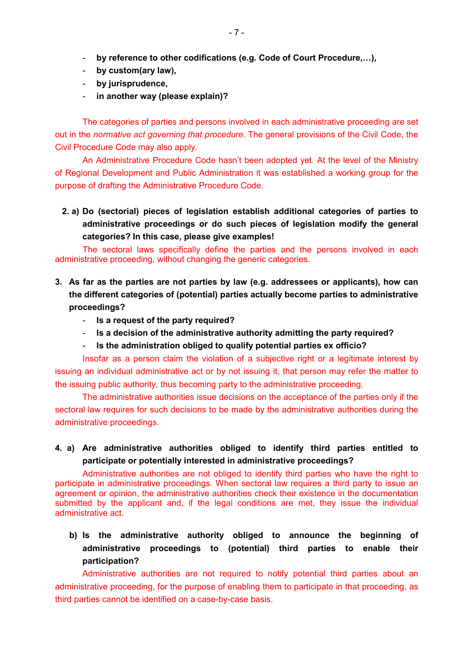- by reference to other codifications (e.g. Code of Court Procedure,...),
- by custom(ary law),
- **by jurisprudence,**
- **in another way (please explain)?**

The categories of parties and persons involved in each administrative proceeding are set out in the *normative act governing that procedure*. The general provisions of the Civil Code, the Civil Procedure Code may also apply.

An Administrative Procedure Code hasn't been adopted yet. At the level of the Ministry of Regional Development and Public Administration it was established a working group for the purpose of drafting the Administrative Procedure Code.

**2. a) Do (sectorial) pieces of legislation establish additional categories of parties to administrative proceedings or do such pieces of legislation modify the general categories? In this case, please give examples!** 

The sectoral laws specifically define the parties and the persons involved in each administrative proceeding, without changing the generic categories.

- **3. As far as the parties are not parties by law (e.g. addressees or applicants), how can the different categories of (potential) parties actually become parties to administrative proceedings?** 
	- **Is a request of the party required?**
	- **Is a decision of the administrative authority admitting the party required?**
	- **Is the administration obliged to qualify potential parties ex officio?**

Insofar as a person claim the violation of a subjective right or a legitimate interest by issuing an individual administrative act or by not issuing it, that person may refer the matter to the issuing public authority, thus becoming party to the administrative proceeding.

The administrative authorities issue decisions on the acceptance of the parties only if the sectoral law requires for such decisions to be made by the administrative authorities during the administrative proceedings.

## **4. a) Are administrative authorities obliged to identify third parties entitled to participate or potentially interested in administrative proceedings?**

Administrative authorities are not obliged to identify third parties who have the right to participate in administrative proceedings. When sectoral law requires a third party to issue an agreement or opinion, the administrative authorities check their existence in the documentation submitted by the applicant and, if the legal conditions are met, they issue the individual administrative act.

 **b) Is the administrative authority obliged to announce the beginning of administrative proceedings to (potential) third parties to enable their participation?** 

Administrative authorities are not required to notify potential third parties about an administrative proceeding, for the purpose of enabling them to participate in that proceeding, as third parties cannot be identified on a case-by-case basis.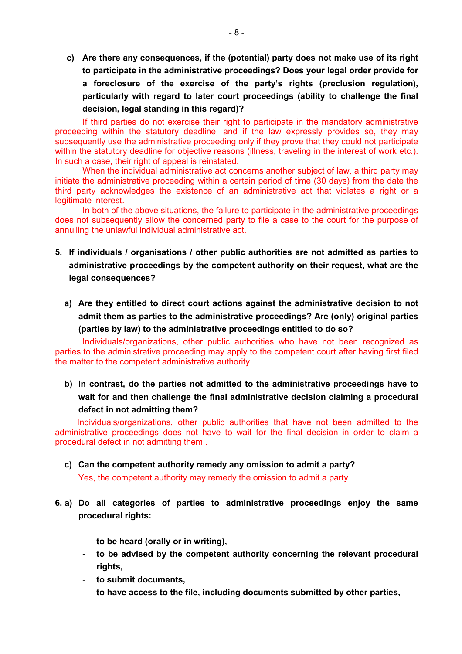**c) Are there any consequences, if the (potential) party does not make use of its right to participate in the administrative proceedings? Does your legal order provide for a foreclosure of the exercise of the party's rights (preclusion regulation), particularly with regard to later court proceedings (ability to challenge the final decision, legal standing in this regard)?** 

If third parties do not exercise their right to participate in the mandatory administrative proceeding within the statutory deadline, and if the law expressly provides so, they may subsequently use the administrative proceeding only if they prove that they could not participate within the statutory deadline for objective reasons (illness, traveling in the interest of work etc.). In such a case, their right of appeal is reinstated.

 When the individual administrative act concerns another subject of law, a third party may initiate the administrative proceeding within a certain period of time (30 days) from the date the third party acknowledges the existence of an administrative act that violates a right or a legitimate interest.

 In both of the above situations, the failure to participate in the administrative proceedings does not subsequently allow the concerned party to file a case to the court for the purpose of annulling the unlawful individual administrative act.

- **5. If individuals / organisations / other public authorities are not admitted as parties to administrative proceedings by the competent authority on their request, what are the legal consequences?** 
	- **a) Are they entitled to direct court actions against the administrative decision to not admit them as parties to the administrative proceedings? Are (only) original parties (parties by law) to the administrative proceedings entitled to do so?**

Individuals/organizations, other public authorities who have not been recognized as parties to the administrative proceeding may apply to the competent court after having first filed the matter to the competent administrative authority.

**b) In contrast, do the parties not admitted to the administrative proceedings have to wait for and then challenge the final administrative decision claiming a procedural defect in not admitting them?** 

Individuals/organizations, other public authorities that have not been admitted to the administrative proceedings does not have to wait for the final decision in order to claim a procedural defect in not admitting them..

- **c) Can the competent authority remedy any omission to admit a party?**  Yes, the competent authority may remedy the omission to admit a party.
- **6. a) Do all categories of parties to administrative proceedings enjoy the same procedural rights:** 
	- **to be heard (orally or in writing),**
	- **to be advised by the competent authority concerning the relevant procedural rights,**
	- **to submit documents,**
	- **to have access to the file, including documents submitted by other parties,**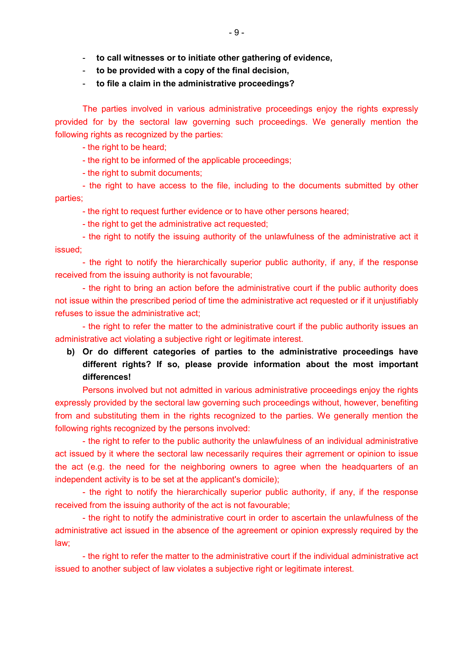- **to call witnesses or to initiate other gathering of evidence,**
- **to be provided with a copy of the final decision,**
- **to file a claim in the administrative proceedings?**

The parties involved in various administrative proceedings enjoy the rights expressly provided for by the sectoral law governing such proceedings. We generally mention the following rights as recognized by the parties:

- the right to be heard;

- the right to be informed of the applicable proceedings;

- the right to submit documents;

- the right to have access to the file, including to the documents submitted by other parties;

- the right to request further evidence or to have other persons heared;

- the right to get the administrative act requested;

- the right to notify the issuing authority of the unlawfulness of the administrative act it issued;

- the right to notify the hierarchically superior public authority, if any, if the response received from the issuing authority is not favourable;

- the right to bring an action before the administrative court if the public authority does not issue within the prescribed period of time the administrative act requested or if it unjustifiably refuses to issue the administrative act;

- the right to refer the matter to the administrative court if the public authority issues an administrative act violating a subjective right or legitimate interest.

**b) Or do different categories of parties to the administrative proceedings have different rights? If so, please provide information about the most important differences!** 

Persons involved but not admitted in various administrative proceedings enjoy the rights expressly provided by the sectoral law governing such proceedings without, however, benefiting from and substituting them in the rights recognized to the parties. We generally mention the following rights recognized by the persons involved:

- the right to refer to the public authority the unlawfulness of an individual administrative act issued by it where the sectoral law necessarily requires their agrrement or opinion to issue the act (e.g. the need for the neighboring owners to agree when the headquarters of an independent activity is to be set at the applicant's domicile);

- the right to notify the hierarchically superior public authority, if any, if the response received from the issuing authority of the act is not favourable;

- the right to notify the administrative court in order to ascertain the unlawfulness of the administrative act issued in the absence of the agreement or opinion expressly required by the law;

- the right to refer the matter to the administrative court if the individual administrative act issued to another subject of law violates a subjective right or legitimate interest.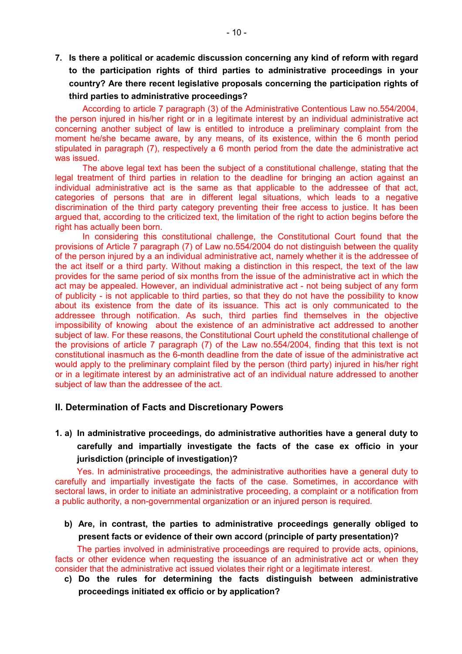**7. Is there a political or academic discussion concerning any kind of reform with regard to the participation rights of third parties to administrative proceedings in your country? Are there recent legislative proposals concerning the participation rights of third parties to administrative proceedings?** 

According to article 7 paragraph (3) of the Administrative Contentious Law no.554/2004, the person injured in his/her right or in a legitimate interest by an individual administrative act concerning another subject of law is entitled to introduce a preliminary complaint from the moment he/she became aware, by any means, of its existence, within the 6 month period stipulated in paragraph (7), respectively a 6 month period from the date the administrative act was issued.

 The above legal text has been the subject of a constitutional challenge, stating that the legal treatment of third parties in relation to the deadline for bringing an action against an individual administrative act is the same as that applicable to the addressee of that act, categories of persons that are in different legal situations, which leads to a negative discrimination of the third party category preventing their free access to justice. It has been argued that, according to the criticized text, the limitation of the right to action begins before the right has actually been born.

 In considering this constitutional challenge, the Constitutional Court found that the provisions of Article 7 paragraph (7) of Law no.554/2004 do not distinguish between the quality of the person injured by a an individual administrative act, namely whether it is the addressee of the act itself or a third party. Without making a distinction in this respect, the text of the law provides for the same period of six months from the issue of the administrative act in which the act may be appealed. However, an individual administrative act - not being subject of any form of publicity - is not applicable to third parties, so that they do not have the possibility to know about its existence from the date of its issuance. This act is only communicated to the addressee through notification. As such, third parties find themselves in the objective impossibility of knowing about the existence of an administrative act addressed to another subject of law. For these reasons, the Constitutional Court upheld the constitutional challenge of the provisions of article 7 paragraph (7) of the Law no.554/2004, finding that this text is not constitutional inasmuch as the 6-month deadline from the date of issue of the administrative act would apply to the preliminary complaint filed by the person (third party) injured in his/her right or in a legitimate interest by an administrative act of an individual nature addressed to another subject of law than the addressee of the act.

#### **II. Determination of Facts and Discretionary Powers**

**1. a) In administrative proceedings, do administrative authorities have a general duty to carefully and impartially investigate the facts of the case ex officio in your jurisdiction (principle of investigation)?** 

Yes. In administrative proceedings, the administrative authorities have a general duty to carefully and impartially investigate the facts of the case. Sometimes, in accordance with sectoral laws, in order to initiate an administrative proceeding, a complaint or a notification from a public authority, a non-governmental organization or an injured person is required.

**b) Are, in contrast, the parties to administrative proceedings generally obliged to present facts or evidence of their own accord (principle of party presentation)?** 

The parties involved in administrative proceedings are required to provide acts, opinions, facts or other evidence when requesting the issuance of an administrative act or when they consider that the administrative act issued violates their right or a legitimate interest.

**c) Do the rules for determining the facts distinguish between administrative proceedings initiated ex officio or by application?**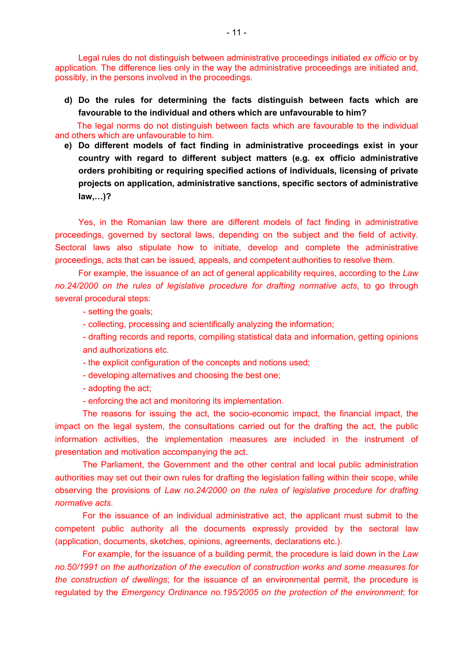Legal rules do not distinguish between administrative proceedings initiated *ex officio* or by application. The difference lies only in the way the administrative proceedings are initiated and, possibly, in the persons involved in the proceedings.

**d) Do the rules for determining the facts distinguish between facts which are favourable to the individual and others which are unfavourable to him?** 

 The legal norms do not distinguish between facts which are favourable to the individual and others which are unfavourable to him.

**e) Do different models of fact finding in administrative proceedings exist in your country with regard to different subject matters (e.g. ex officio administrative orders prohibiting or requiring specified actions of individuals, licensing of private projects on application, administrative sanctions, specific sectors of administrative law....)?** 

Yes, in the Romanian law there are different models of fact finding in administrative proceedings, governed by sectoral laws, depending on the subject and the field of activity. Sectoral laws also stipulate how to initiate, develop and complete the administrative proceedings, acts that can be issued, appeals, and competent authorities to resolve them.

For example, the issuance of an act of general applicability requires, according to the *Law no.24/2000 on the rules of legislative procedure for drafting normative acts*, to go through several procedural steps:

- setting the goals;

- collecting, processing and scientifically analyzing the information;

- drafting records and reports, compiling statistical data and information, getting opinions and authorizations etc.

- the explicit configuration of the concepts and notions used;

- developing alternatives and choosing the best one;

- adopting the act;

- enforcing the act and monitoring its implementation.

The reasons for issuing the act, the socio-economic impact, the financial impact, the impact on the legal system, the consultations carried out for the drafting the act, the public information activities, the implementation measures are included in the instrument of presentation and motivation accompanying the act.

The Parliament, the Government and the other central and local public administration authorities may set out their own rules for drafting the legislation falling within their scope, while observing the provisions of *Law no.24/2000 on the rules of legislative procedure for drafting normative acts*.

For the issuance of an individual administrative act, the applicant must submit to the competent public authority all the documents expressly provided by the sectoral law (application, documents, sketches, opinions, agreements, declarations etc.).

For example, for the issuance of a building permit, the procedure is laid down in the *Law no.50/1991 on the authorization of the execution of construction works and some measures for the construction of dwellings*; for the issuance of an environmental permit, the procedure is regulated by the *Emergency Ordinance no.195/2005 on the protection of the environment*; for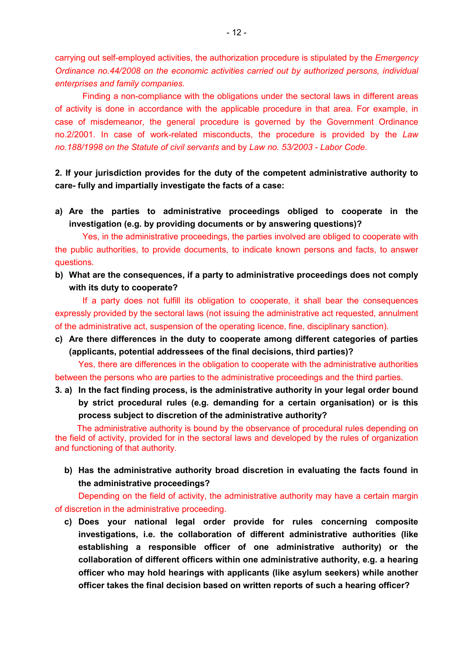carrying out self-employed activities, the authorization procedure is stipulated by the *Emergency Ordinance no.44/2008 on the economic activities carried out by authorized persons, individual enterprises and family companies.*

Finding a non-compliance with the obligations under the sectoral laws in different areas of activity is done in accordance with the applicable procedure in that area. For example, in case of misdemeanor, the general procedure is governed by the Government Ordinance no.2/2001. In case of work-related misconducts, the procedure is provided by the *Law no.188/1998 on the Statute of civil servants* and by *Law no. 53/2003 - Labor Code*.

### **2. If your jurisdiction provides for the duty of the competent administrative authority to care- fully and impartially investigate the facts of a case:**

**a) Are the parties to administrative proceedings obliged to cooperate in the investigation (e.g. by providing documents or by answering questions)?** 

Yes, in the administrative proceedings, the parties involved are obliged to cooperate with the public authorities, to provide documents, to indicate known persons and facts, to answer questions.

**b) What are the consequences, if a party to administrative proceedings does not comply with its duty to cooperate?** 

If a party does not fulfill its obligation to cooperate, it shall bear the consequences expressly provided by the sectoral laws (not issuing the administrative act requested, annulment of the administrative act, suspension of the operating licence, fine, disciplinary sanction).

**c) Are there differences in the duty to cooperate among different categories of parties (applicants, potential addressees of the final decisions, third parties)?** 

Yes, there are differences in the obligation to cooperate with the administrative authorities between the persons who are parties to the administrative proceedings and the third parties.

**3. a) In the fact finding process, is the administrative authority in your legal order bound by strict procedural rules (e.g. demanding for a certain organisation) or is this process subject to discretion of the administrative authority?** 

The administrative authority is bound by the observance of procedural rules depending on the field of activity, provided for in the sectoral laws and developed by the rules of organization and functioning of that authority.

**b) Has the administrative authority broad discretion in evaluating the facts found in the administrative proceedings?** 

Depending on the field of activity, the administrative authority may have a certain margin of discretion in the administrative proceeding.

**c) Does your national legal order provide for rules concerning composite investigations, i.e. the collaboration of different administrative authorities (like establishing a responsible officer of one administrative authority) or the collaboration of different officers within one administrative authority, e.g. a hearing officer who may hold hearings with applicants (like asylum seekers) while another officer takes the final decision based on written reports of such a hearing officer?**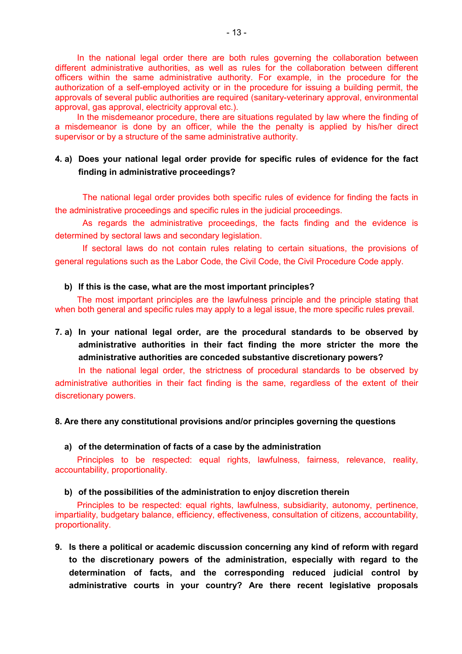In the national legal order there are both rules governing the collaboration between different administrative authorities, as well as rules for the collaboration between different officers within the same administrative authority. For example, in the procedure for the authorization of a self-employed activity or in the procedure for issuing a building permit, the approvals of several public authorities are required (sanitary-veterinary approval, environmental approval, gas approval, electricity approval etc.).

 In the misdemeanor procedure, there are situations regulated by law where the finding of a misdemeanor is done by an officer, while the the penalty is applied by his/her direct supervisor or by a structure of the same administrative authority.

### **4. a) Does your national legal order provide for specific rules of evidence for the fact finding in administrative proceedings?**

 The national legal order provides both specific rules of evidence for finding the facts in the administrative proceedings and specific rules in the judicial proceedings.

As regards the administrative proceedings, the facts finding and the evidence is determined by sectoral laws and secondary legislation.

If sectoral laws do not contain rules relating to certain situations, the provisions of general regulations such as the Labor Code, the Civil Code, the Civil Procedure Code apply.

#### **b) If this is the case, what are the most important principles?**

The most important principles are the lawfulness principle and the principle stating that when both general and specific rules may apply to a legal issue, the more specific rules prevail.

**7. a) In your national legal order, are the procedural standards to be observed by administrative authorities in their fact finding the more stricter the more the administrative authorities are conceded substantive discretionary powers?** 

In the national legal order, the strictness of procedural standards to be observed by administrative authorities in their fact finding is the same, regardless of the extent of their discretionary powers.

#### **8. Are there any constitutional provisions and/or principles governing the questions**

#### **a) of the determination of facts of a case by the administration**

 Principles to be respected: equal rights, lawfulness, fairness, relevance, reality, accountability, proportionality.

#### **b) of the possibilities of the administration to enjoy discretion therein**

Principles to be respected: equal rights, lawfulness, subsidiarity, autonomy, pertinence, impartiality, budgetary balance, efficiency, effectiveness, consultation of citizens, accountability, proportionality.

**9. Is there a political or academic discussion concerning any kind of reform with regard to the discretionary powers of the administration, especially with regard to the determination of facts, and the corresponding reduced judicial control by administrative courts in your country? Are there recent legislative proposals**